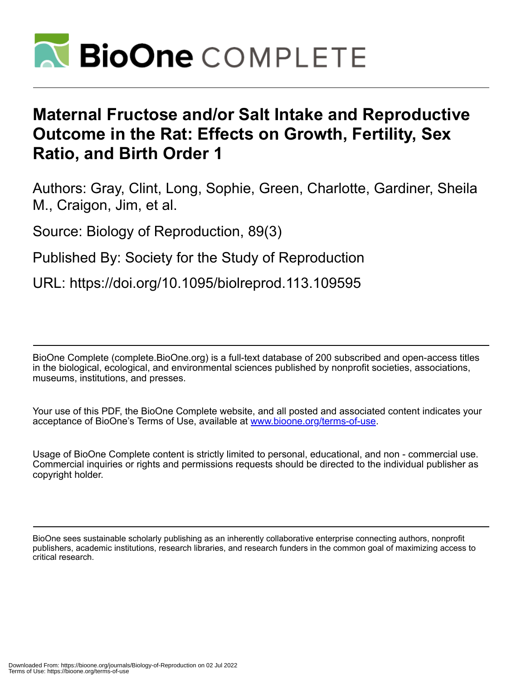

# **Maternal Fructose and/or Salt Intake and Reproductive Outcome in the Rat: Effects on Growth, Fertility, Sex Ratio, and Birth Order 1**

Authors: Gray, Clint, Long, Sophie, Green, Charlotte, Gardiner, Sheila M., Craigon, Jim, et al.

Source: Biology of Reproduction, 89(3)

Published By: Society for the Study of Reproduction

URL: https://doi.org/10.1095/biolreprod.113.109595

BioOne Complete (complete.BioOne.org) is a full-text database of 200 subscribed and open-access titles in the biological, ecological, and environmental sciences published by nonprofit societies, associations, museums, institutions, and presses.

Your use of this PDF, the BioOne Complete website, and all posted and associated content indicates your acceptance of BioOne's Terms of Use, available at www.bioone.org/terms-of-use.

Usage of BioOne Complete content is strictly limited to personal, educational, and non - commercial use. Commercial inquiries or rights and permissions requests should be directed to the individual publisher as copyright holder.

BioOne sees sustainable scholarly publishing as an inherently collaborative enterprise connecting authors, nonprofit publishers, academic institutions, research libraries, and research funders in the common goal of maximizing access to critical research.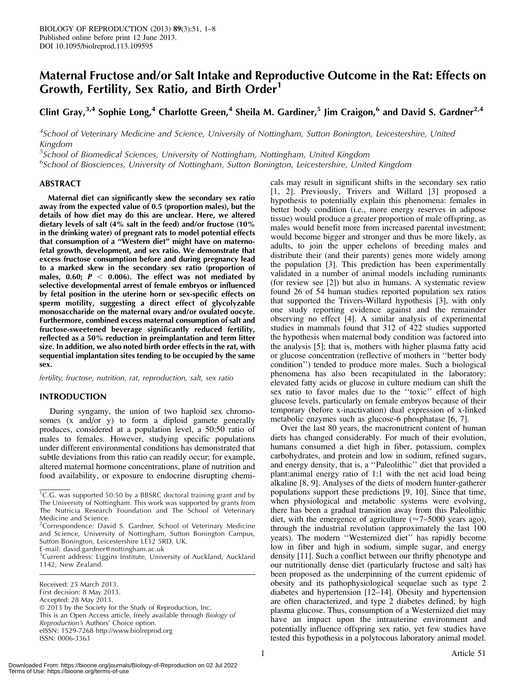# Maternal Fructose and/or Salt Intake and Reproductive Outcome in the Rat: Effects on Growth, Fertility, Sex Ratio, and Birth Order<sup>1</sup>

Clint Gray,<sup>3,4</sup> Sophie Long,<sup>4</sup> Charlotte Green,<sup>4</sup> Sheila M. Gardiner,<sup>5</sup> Jim Craigon,<sup>6</sup> and David S. Gardner<sup>2,4</sup>

<sup>4</sup>School of Veterinary Medicine and Science, University of Nottingham, Sutton Bonington, Leicestershire, United Kingdom

<sup>5</sup>School of Biomedical Sciences, University of Nottingham, Nottingham, United Kingdom

<sup>6</sup>School of Biosciences, University of Nottingham, Sutton Bonington, Leicestershire, United Kingdom

# ABSTRACT

Maternal diet can significantly skew the secondary sex ratio away from the expected value of 0.5 (proportion males), but the details of how diet may do this are unclear. Here, we altered dietary levels of salt (4% salt in the feed) and/or fructose (10% in the drinking water) of pregnant rats to model potential effects that consumption of a ''Western diet'' might have on maternofetal growth, development, and sex ratio. We demonstrate that excess fructose consumption before and during pregnancy lead to a marked skew in the secondary sex ratio (proportion of males, 0.60;  $P < 0.006$ ). The effect was not mediated by selective developmental arrest of female embryos or influenced by fetal position in the uterine horn or sex-specific effects on sperm motility, suggesting a direct effect of glycolyzable monosaccharide on the maternal ovary and/or ovulated oocyte. Furthermore, combined excess maternal consumption of salt and fructose-sweetened beverage significantly reduced fertility, reflected as a 50% reduction in preimplantation and term litter size. In addition, we also noted birth order effects in the rat, with sequential implantation sites tending to be occupied by the same sex.

fertility, fructose, nutrition, rat, reproduction, salt, sex ratio

# INTRODUCTION

During syngamy, the union of two haploid sex chromosomes (x and/or y) to form a diploid gamete generally produces, considered at a population level, a 50:50 ratio of males to females. However, studying specific populations under different environmental conditions has demonstrated that subtle deviations from this ratio can readily occur; for example, altered maternal hormone concentrations, plane of nutrition and food availability, or exposure to endocrine disrupting chemi-

Received: 25 March 2013. First decision: 8 May 2013. Accepted: 28 May 2013. - 2013 by the Society for the Study of Reproduction, Inc. This is an Open Access article, freely available through Biology of Reproduction's Authors' Choice option. eISSN: 1529-7268 http://www.biolreprod.org ISSN: 0006-3363

cals may result in significant shifts in the secondary sex ratio [1, 2]. Previously, Trivers and Willard [3] proposed a hypothesis to potentially explain this phenomena: females in better body condition (i.e., more energy reserves in adipose tissue) would produce a greater proportion of male offspring, as males would benefit more from increased parental investment; would become bigger and stronger and thus be more likely, as adults, to join the upper echelons of breeding males and distribute their (and their parents) genes more widely among the population [3]. This prediction has been experimentally validated in a number of animal models including ruminants (for review see [2]) but also in humans. A systematic review found 26 of 54 human studies reported population sex ratios that supported the Trivers-Willard hypothesis [3], with only one study reporting evidence against and the remainder observing no effect [4]. A similar analysis of experimental studies in mammals found that 312 of 422 studies supported the hypothesis when maternal body condition was factored into the analysis [5]; that is, mothers with higher plasma fatty acid or glucose concentration (reflective of mothers in ''better body condition'') tended to produce more males. Such a biological phenomena has also been recapitulated in the laboratory: elevated fatty acids or glucose in culture medium can shift the sex ratio to favor males due to the ''toxic'' effect of high glucose levels, particularly on female embryos because of their temporary (before x-inactivation) dual expression of x-linked metabolic enzymes such as glucose-6 phosphatase [6, 7].

Over the last 80 years, the macronutrient content of human diets has changed considerably. For much of their evolution, humans consumed a diet high in fiber, potassium, complex carbohydrates, and protein and low in sodium, refined sugars, and energy density, that is, a ''Paleolithic'' diet that provided a plant:animal energy ratio of 1:1 with the net acid load being alkaline [8, 9]. Analyses of the diets of modern hunter-gatherer populations support these predictions [9, 10]. Since that time, when physiological and metabolic systems were evolving, there has been a gradual transition away from this Paleolithic diet, with the emergence of agriculture ( $\approx$ 7–5000 years ago), through the industrial revolution (approximately the last 100 years). The modern ''Westernized diet'' has rapidly become low in fiber and high in sodium, simple sugar, and energy density [11]. Such a conflict between our thrifty phenotype and our nutritionally dense diet (particularly fructose and salt) has been proposed as the underpinning of the current epidemic of obesity and its pathophysiological sequelae such as type 2 diabetes and hypertension [12–14]. Obesity and hypertension are often characterized, and type 2 diabetes defined, by high plasma glucose. Thus, consumption of a Westernized diet may have an impact upon the intrauterine environment and potentially influence offspring sex ratio, yet few studies have tested this hypothesis in a polytocous laboratory animal model.

<sup>&</sup>lt;sup>1</sup>C.G. was supported 50:50 by a BBSRC doctoral training grant and by The University of Nottingham. This work was supported by grants from The Nutricia Research Foundation and The School of Veterinary Medicine and Science.

<sup>&</sup>lt;sup>2</sup>Correspondence: David S. Gardner, School of Veterinary Medicine and Science, University of Nottingham, Sutton Bonington Campus, Sutton Bonington, Leicestershire LE12 5RD, UK.

E-mail: david.gardner@nottingham.ac.uk

<sup>&</sup>lt;sup>3</sup>Current address: Liggins Institute, University of Auckland, Auckland 1142, New Zealand.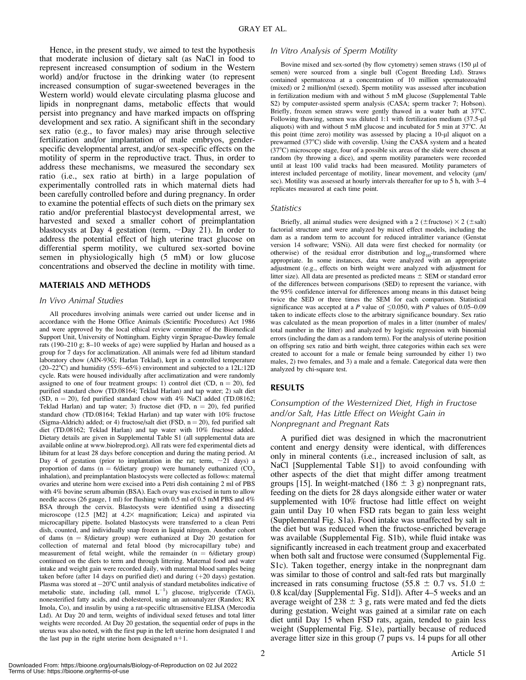Hence, in the present study, we aimed to test the hypothesis that moderate inclusion of dietary salt (as NaCl in food to represent increased consumption of sodium in the Western world) and/or fructose in the drinking water (to represent increased consumption of sugar-sweetened beverages in the Western world) would elevate circulating plasma glucose and lipids in nonpregnant dams, metabolic effects that would persist into pregnancy and have marked impacts on offspring development and sex ratio. A significant shift in the secondary sex ratio (e.g., to favor males) may arise through selective fertilization and/or implantation of male embryos, genderspecific developmental arrest, and/or sex-specific effects on the motility of sperm in the reproductive tract. Thus, in order to address these mechanisms, we measured the secondary sex ratio (i.e., sex ratio at birth) in a large population of experimentally controlled rats in which maternal diets had been carefully controlled before and during pregnancy. In order to examine the potential effects of such diets on the primary sex ratio and/or preferential blastocyst developmental arrest, we harvested and sexed a smaller cohort of preimplantation blastocysts at Day 4 gestation (term,  $\sim$ Day 21). In order to address the potential effect of high uterine tract glucose on differential sperm motility, we cultured sex-sorted bovine semen in physiologically high (5 mM) or low glucose concentrations and observed the decline in motility with time.

#### MATERIALS AND METHODS

#### In Vivo Animal Studies

All procedures involving animals were carried out under license and in accordance with the Home Office Animals (Scientific Procedures) Act 1986 and were approved by the local ethical review committee of the Biomedical Support Unit, University of Nottingham. Eighty virgin Sprague-Dawley female rats (190–210 g; 8–10 weeks of age) were supplied by Harlan and housed as a group for 7 days for acclimatization. All animals were fed ad libitum standard laboratory chow (AIN-93G; Harlan Teklad), kept in a controlled temperature (20–22 $^{\circ}$ C) and humidity (55%–65%) environment and subjected to a 12L:12D cycle. Rats were housed individually after acclimatization and were randomly assigned to one of four treatment groups: 1) control diet (CD,  $n = 20$ ), fed purified standard chow (TD.08164; Teklad Harlan) and tap water; 2) salt diet (SD,  $n = 20$ ), fed purified standard chow with 4% NaCl added (TD.08162; Teklad Harlan) and tap water; 3) fructose diet (FD,  $n = 20$ ), fed purified standard chow (TD.08164; Teklad Harlan) and tap water with 10% fructose (Sigma-Aldrich) added; or 4) fructose/salt diet (FSD,  $n = 20$ ), fed purified salt diet (TD.08162; Teklad Harlan) and tap water with 10% fructose added. Dietary details are given in Supplemental Table S1 (all supplemental data are available online at www.biolreprod.org). All rats were fed experimental diets ad libitum for at least 28 days before conception and during the mating period. At Day 4 of gestation (prior to implantation in the rat; term,  $\sim$ 21 days) a proportion of dams ( $n = 6/d$ ietary group) were humanely euthanized (CO<sub>2</sub>) inhalation), and preimplantation blastocysts were collected as follows: maternal ovaries and uterine horn were excised into a Petri dish containing 2 ml of PBS with 4% bovine serum albumin (BSA). Each ovary was excised in turn to allow needle access (26 gauge, 1 ml) for flushing with 0.5 ml of 0.5 mM PBS and 4% BSA through the cervix. Blastocysts were identified using a dissecting microscope (12.5 [M2] at 4.2× magnification; Leica) and aspirated via microcapillary pipette. Isolated blastocysts were transferred to a clean Petri dish, counted, and individually snap frozen in liquid nitrogen. Another cohort of dams ( $n = 8/di$ etary group) were euthanized at Day 20 gestation for collection of maternal and fetal blood (by microcapillary tube) and measurement of fetal weight, while the remainder  $(n = 6/di)$  group) continued on the diets to term and through littering. Maternal food and water intake and weight gain were recorded daily, with maternal blood samples being taken before (after 14 days on purified diet) and during  $(+20$  days) gestation. Plasma was stored at  $-20^{\circ}$ C until analysis of standard metabolites indicative of metabolic state, including (all, mmol  $L^{-1}$ ) glucose, triglyceride (TAG), nonesterified fatty acids, and cholesterol, using an autoanalyzer (Randox; RX Imola, Co), and insulin by using a rat-specific ultrasensitive ELISA (Mercodia Ltd). At Day 20 and term, weights of individual sexed fetuses and total litter weights were recorded. At Day 20 gestation, the sequential order of pups in the uterus was also noted, with the first pup in the left uterine horn designated 1 and the last pup in the right uterine horn designated  $n+1$ .

## In Vitro Analysis of Sperm Motility

Bovine mixed and sex-sorted (by flow cytometry) semen straws (150 µl of semen) were sourced from a single bull (Cogent Breeding Ltd). Straws contained spermatozoa at a concentration of 10 million spermatozoa/ml (mixed) or 2 million/ml (sexed). Sperm motility was assessed after incubation in fertilization medium with and without 5 mM glucose (Supplemental Table S2) by computer-assisted sperm analysis (CASA; sperm tracker 7; Hobson). Briefly, frozen semen straws were gently thawed in a water bath at  $37^{\circ}$ C. Following thawing, semen was diluted 1:1 with fertilization medium  $(37.5-\mu$ l aliquots) with and without 5 mM glucose and incubated for 5 min at  $37^{\circ}$ C. At this point (time zero) motility was assessed by placing a 10-µl aliquot on a prewarmed (37°C) slide with coverslip. Using the CASA system and a heated (378C) microscope stage, four of a possible six areas of the slide were chosen at random (by throwing a dice), and sperm motility parameters were recorded until at least 100 valid tracks had been measured. Motility parameters of interest included percentage of motility, linear movement, and velocity  $(\mu m)$ sec). Motility was assessed at hourly intervals thereafter for up to 5 h, with 3–4 replicates measured at each time point.

## **Statistics**

Briefly, all animal studies were designed with a 2 ( $\pm$ fructose)  $\times$  2 ( $\pm$ salt) factorial structure and were analyzed by mixed effect models, including the dam as a random term to account for reduced intralitter variance (Genstat version 14 software; VSNi). All data were first checked for normality (or otherwise) of the residual error distribution and  $log_{10}$ -transformed where appropriate. In some instances, data were analyzed with an appropriate adjustment (e.g., effects on birth weight were analyzed with adjustment for litter size). All data are presented as predicted means  $\pm$  SEM or standard error of the differences between comparisons (SED) to represent the variance, with the 95% confidence interval for differences among means in this dataset being twice the SED or three times the SEM for each comparison. Statistical significance was accepted at a P value of  $\leq 0.050$ , with P values of 0.05–0.09 taken to indicate effects close to the arbitrary significance boundary. Sex ratio was calculated as the mean proportion of males in a litter (number of males/ total number in the litter) and analyzed by logistic regression with binomial errors (including the dam as a random term). For the analysis of uterine position on offspring sex ratio and birth weight, three categories within each sex were created to account for a male or female being surrounded by either 1) two males, 2) two females, and 3) a male and a female. Categorical data were then analyzed by chi-square test.

#### RESULTS

# Consumption of the Westernized Diet, High in Fructose and/or Salt, Has Little Effect on Weight Gain in Nonpregnant and Pregnant Rats

A purified diet was designed in which the macronutrient content and energy density were identical, with differences only in mineral contents (i.e., increased inclusion of salt, as NaCl [Supplemental Table S1]) to avoid confounding with other aspects of the diet that might differ among treatment groups [15]. In weight-matched (186  $\pm$  3 g) nonpregnant rats, feeding on the diets for 28 days alongside either water or water supplemented with 10% fructose had little effect on weight gain until Day 10 when FSD rats began to gain less weight (Supplemental Fig. S1a). Food intake was unaffected by salt in the diet but was reduced when the fructose-enriched beverage was available (Supplemental Fig. S1b), while fluid intake was significantly increased in each treatment group and exacerbated when both salt and fructose were consumed (Supplemental Fig. S1c). Taken together, energy intake in the nonpregnant dam was similar to those of control and salt-fed rats but marginally increased in rats consuming fructose (55.8  $\pm$  0.7 vs. 51.0  $\pm$ 0.8 kcal/day [Supplemental Fig. S1d]). After 4–5 weeks and an average weight of 238  $\pm$  3 g, rats were mated and fed the diets during gestation. Weight was gained at a similar rate on each diet until Day 15 when FSD rats, again, tended to gain less weight (Supplemental Fig. S1e), partially because of reduced average litter size in this group (7 pups vs. 14 pups for all other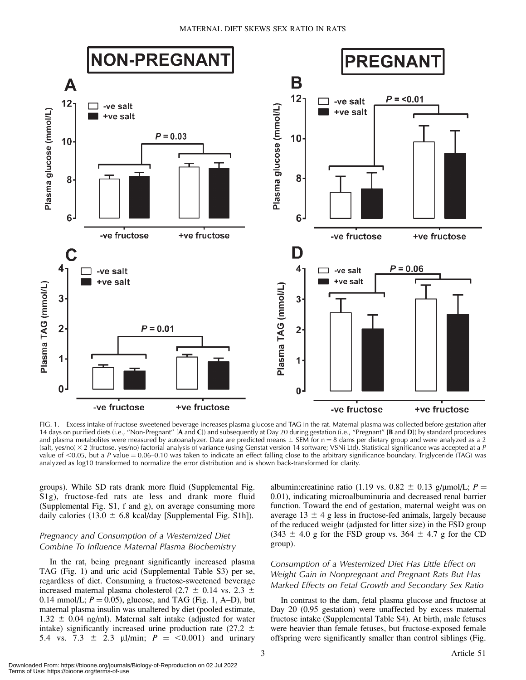

FIG. 1. Excess intake of fructose-sweetened beverage increases plasma glucose and TAG in the rat. Maternal plasma was collected before gestation after 14 days on purified diets (i.e., "Non-Pregnant" [A and C]) and subsequently at Day 20 during gestation (i.e., "Pregnant" [B and D]) by standard procedures and plasma metabolites were measured by autoanalyzer. Data are predicted means  $\pm$  SEM for n = 8 dams per dietary group and were analyzed as a 2 (salt, yes/no) 3 2 (fructose, yes/no) factorial analysis of variance (using Genstat version 14 software; VSNi Ltd). Statistical significance was accepted at a P value of  $<$ 0.05, but a P value = 0.06–0.10 was taken to indicate an effect falling close to the arbitrary significance boundary. Triglyceride (TAG) was analyzed as log10 transformed to normalize the error distribution and is shown back-transformed for clarity.

groups). While SD rats drank more fluid (Supplemental Fig. S1g), fructose-fed rats ate less and drank more fluid (Supplemental Fig. S1, f and g), on average consuming more daily calories (13.0  $\pm$  6.8 kcal/day [Supplemental Fig. S1h]).

# Pregnancy and Consumption of a Westernized Diet Combine To Influence Maternal Plasma Biochemistry

In the rat, being pregnant significantly increased plasma TAG (Fig. 1) and uric acid (Supplemental Table S3) per se, regardless of diet. Consuming a fructose-sweetened beverage increased maternal plasma cholesterol (2.7  $\pm$  0.14 vs. 2.3  $\pm$ 0.14 mmol/L;  $P = 0.05$ ), glucose, and TAG (Fig. 1, A–D), but maternal plasma insulin was unaltered by diet (pooled estimate,  $1.32 \pm 0.04$  ng/ml). Maternal salt intake (adjusted for water intake) significantly increased urine production rate (27.2  $\pm$ 5.4 vs. 7.3  $\pm$  2.3 µl/min;  $P = \langle 0.001 \rangle$  and urinary

albumin: creatinine ratio (1.19 vs.  $0.82 \pm 0.13$  g/ $\mu$ mol/L; P = 0.01), indicating microalbuminuria and decreased renal barrier function. Toward the end of gestation, maternal weight was on average  $13 \pm 4$  g less in fructose-fed animals, largely because of the reduced weight (adjusted for litter size) in the FSD group  $(343 \pm 4.0 \text{ g}$  for the FSD group vs. 364  $\pm$  4.7 g for the CD group).

# Consumption of a Westernized Diet Has Little Effect on Weight Gain in Nonpregnant and Pregnant Rats But Has Marked Effects on Fetal Growth and Secondary Sex Ratio

In contrast to the dam, fetal plasma glucose and fructose at Day 20 (0.95 gestation) were unaffected by excess maternal fructose intake (Supplemental Table S4). At birth, male fetuses were heavier than female fetuses, but fructose-exposed female offspring were significantly smaller than control siblings (Fig.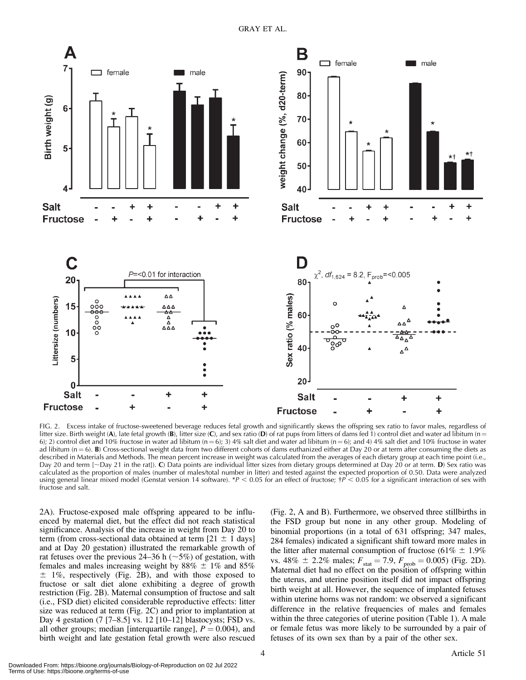

FIG. 2. Excess intake of fructose-sweetened beverage reduces fetal growth and significantly skews the offspring sex ratio to favor males, regardless of litter size. Birth weight (A), late fetal growth (B), litter size (C), and sex ratio (D) of rat pups from litters of dams fed 1) control diet and water ad libitum (n = 6); 2) control diet and 10% fructose in water ad libitum (n = 6); 3) 4% salt diet and water ad libitum (n = 6); and 4) 4% salt diet and 10% fructose in water ad libitum  $(n = 6)$ . B) Cross-sectional weight data from two different cohorts of dams euthanized either at Day 20 or at term after consuming the diets as described in Materials and Methods. The mean percent increase in weight was calculated from the averages of each dietary group at each time point (i.e., Day 20 and term  $\sim$  Day 21 in the rat]). C) Data points are individual litter sizes from dietary groups determined at Day 20 or at term. D) Sex ratio was calculated as the proportion of males (number of males/total number in litter) and tested against the expected proportion of 0.50. Data were analyzed using general linear mixed model (Genstat version 14 software). \* $P < 0.05$  for an effect of fructose;  $\dagger P < 0.05$  for a significant interaction of sex with fructose and salt.

2A). Fructose-exposed male offspring appeared to be influenced by maternal diet, but the effect did not reach statistical significance. Analysis of the increase in weight from Day 20 to term (from cross-sectional data obtained at term  $[21 \pm 1 \text{ days}]$ and at Day 20 gestation) illustrated the remarkable growth of rat fetuses over the previous 24–36 h ( $\sim$ 5%) of gestation, with females and males increasing weight by  $88\% \pm 1\%$  and  $85\%$  $\pm$  1%, respectively (Fig. 2B), and with those exposed to fructose or salt diet alone exhibiting a degree of growth restriction (Fig. 2B). Maternal consumption of fructose and salt (i.e., FSD diet) elicited considerable reproductive effects: litter size was reduced at term (Fig. 2C) and prior to implantation at Day 4 gestation (7 [7–8.5] vs. 12 [10–12] blastocysts; FSD vs. all other groups; median [interquartile range],  $P = 0.004$ ), and birth weight and late gestation fetal growth were also rescued (Fig. 2, A and B). Furthermore, we observed three stillbirths in the FSD group but none in any other group. Modeling of binomial proportions (in a total of 631 offspring; 347 males, 284 females) indicated a significant shift toward more males in the litter after maternal consumption of fructose (61%  $\pm$  1.9%) vs.  $48\% \pm 2.2\%$  males;  $F_{\text{stat}} = 7.9$ ,  $F_{\text{prob}} = 0.005$ ) (Fig. 2D). Maternal diet had no effect on the position of offspring within the uterus, and uterine position itself did not impact offspring birth weight at all. However, the sequence of implanted fetuses within uterine horns was not random: we observed a significant difference in the relative frequencies of males and females within the three categories of uterine position (Table 1). A male or female fetus was more likely to be surrounded by a pair of fetuses of its own sex than by a pair of the other sex.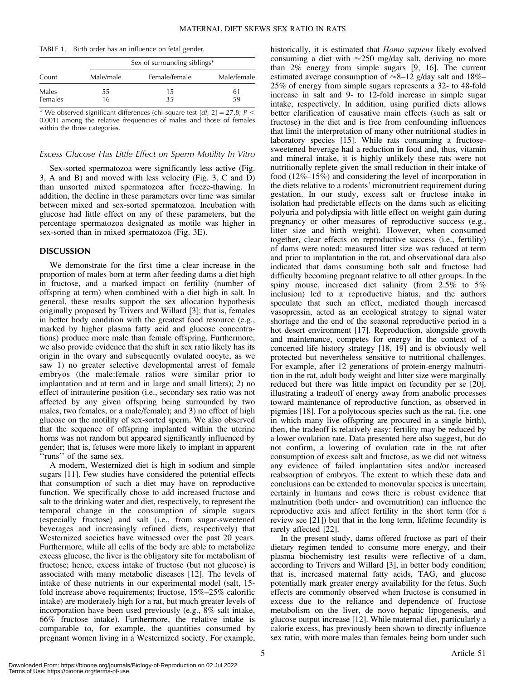|  | TABLE 1. Birth order has an influence on fetal gender. |  |  |  |  |
|--|--------------------------------------------------------|--|--|--|--|
|--|--------------------------------------------------------|--|--|--|--|

| Count   |           | Sex of surrounding siblings* |             |
|---------|-----------|------------------------------|-------------|
|         | Male/male | Female/female                | Male/female |
| Males   | 55        | 15                           | 61          |
| Females | 16        | 35                           | 59          |

\* We observed significant differences (chi-square test  $[df, 2] = 27.8; P <$ 0.001) among the relative frequencies of males and those of females within the three categories.

#### Excess Glucose Has Little Effect on Sperm Motility In Vitro

Sex-sorted spermatozoa were significantly less active (Fig. 3, A and B) and moved with less velocity (Fig. 3, C and D) than unsorted mixed spermatozoa after freeze-thawing. In addition, the decline in these parameters over time was similar between mixed and sex-sorted spermatozoa. Incubation with glucose had little effect on any of these parameters, but the percentage spermatozoa designated as motile was higher in sex-sorted than in mixed spermatozoa (Fig. 3E).

#### DISCUSSION

We demonstrate for the first time a clear increase in the proportion of males born at term after feeding dams a diet high in fructose, and a marked impact on fertility (number of offspring at term) when combined with a diet high in salt. In general, these results support the sex allocation hypothesis originally proposed by Trivers and Willard [3]; that is, females in better body condition with the greatest food resource (e.g., marked by higher plasma fatty acid and glucose concentrations) produce more male than female offspring. Furthermore, we also provide evidence that the shift in sex ratio likely has its origin in the ovary and subsequently ovulated oocyte, as we saw 1) no greater selective developmental arrest of female embryos (the male:female ratios were similar prior to implantation and at term and in large and small litters); 2) no effect of intrauterine position (i.e., secondary sex ratio was not affected by any given offspring being surrounded by two males, two females, or a male/female); and 3) no effect of high glucose on the motility of sex-sorted sperm. We also observed that the sequence of offspring implanted within the uterine horns was not random but appeared significantly influenced by gender; that is, fetuses were more likely to implant in apparent ''runs'' of the same sex.

A modern, Westernized diet is high in sodium and simple sugars [11]. Few studies have considered the potential effects that consumption of such a diet may have on reproductive function. We specifically chose to add increased fructose and salt to the drinking water and diet, respectively, to represent the temporal change in the consumption of simple sugars (especially fructose) and salt (i.e., from sugar-sweetened beverages and increasingly refined diets, respectively) that Westernized societies have witnessed over the past 20 years. Furthermore, while all cells of the body are able to metabolize excess glucose, the liver is the obligatory site for metabolism of fructose; hence, excess intake of fructose (but not glucose) is associated with many metabolic diseases [12]. The levels of intake of these nutrients in our experimental model (salt, 15 fold increase above requirements; fructose, 15%–25% calorific intake) are moderately high for a rat, but much greater levels of incorporation have been used previously (e.g., 8% salt intake, 66% fructose intake). Furthermore, the relative intake is comparable to, for example, the quantities consumed by pregnant women living in a Westernized society. For example,

historically, it is estimated that *Homo sapiens* likely evolved consuming a diet with  $\approx$  250 mg/day salt, deriving no more than 2% energy from simple sugars [9, 16]. The current estimated average consumption of  $\approx 8-12$  g/day salt and 18%– 25% of energy from simple sugars represents a 32- to 48-fold increase in salt and 9- to 12-fold increase in simple sugar intake, respectively. In addition, using purified diets allows better clarification of causative main effects (such as salt or fructose) in the diet and is free from confounding influences that limit the interpretation of many other nutritional studies in laboratory species [15]. While rats consuming a fructosesweetened beverage had a reduction in food and, thus, vitamin and mineral intake, it is highly unlikely these rats were not nutritionally replete given the small reduction in their intake of food (12%–15%) and considering the level of incorporation in the diets relative to a rodents' micronutrient requirement during gestation. In our study, excess salt or fructose intake in isolation had predictable effects on the dams such as eliciting polyuria and polydipsia with little effect on weight gain during pregnancy or other measures of reproductive success (e.g., litter size and birth weight). However, when consumed together, clear effects on reproductive success (i.e., fertility) of dams were noted: measured litter size was reduced at term and prior to implantation in the rat, and observational data also indicated that dams consuming both salt and fructose had difficulty becoming pregnant relative to all other groups. In the spiny mouse, increased diet salinity (from 2.5% to 5% inclusion) led to a reproductive hiatus, and the authors speculate that such an effect, mediated though increased vasopressin, acted as an ecological strategy to signal water shortage and the end of the seasonal reproductive period in a hot desert environment [17]. Reproduction, alongside growth and maintenance, competes for energy in the context of a concerted life history strategy [18, 19] and is obviously well protected but nevertheless sensitive to nutritional challenges. For example, after 12 generations of protein-energy malnutrition in the rat, adult body weight and litter size were marginally reduced but there was little impact on fecundity per se [20], illustrating a tradeoff of energy away from anabolic processes toward maintenance of reproductive function, as observed in pigmies [18]. For a polytocous species such as the rat, (i.e. one in which many live offspring are procured in a single birth), then, the tradeoff is relatively easy: fertility may be reduced by a lower ovulation rate. Data presented here also suggest, but do not confirm, a lowering of ovulation rate in the rat after consumption of excess salt and fructose, as we did not witness any evidence of failed implantation sites and/or increased reabsorption of embryos. The extent to which these data and conclusions can be extended to monovular species is uncertain; certainly in humans and cows there is robust evidence that malnutrition (both under- and overnutrition) can influence the reproductive axis and affect fertility in the short term (for a review see [21]) but that in the long term, lifetime fecundity is rarely affected [22].

In the present study, dams offered fructose as part of their dietary regimen tended to consume more energy, and their plasma biochemistry test results were reflective of a dam, according to Trivers and Willard [3], in better body condition; that is, increased maternal fatty acids, TAG, and glucose potentially mark greater energy availability for the fetus. Such effects are commonly observed when fructose is consumed in excess due to the reliance and dependence of fructose metabolism on the liver, de novo hepatic lipogenesis, and glucose output increase [12]. While maternal diet, particularly a calorie excess, has previously been shown to directly influence sex ratio, with more males than females being born under such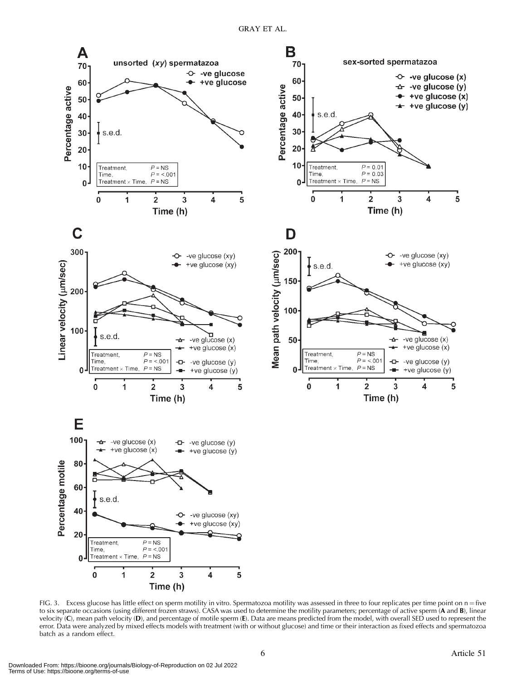

FIG. 3. Excess glucose has little effect on sperm motility in vitro. Spermatozoa motility was assessed in three to four replicates per time point on  $n =$  five to six separate occasions (using different frozen straws). CASA was used to determine the motility parameters; percentage of active sperm (A and B), linear velocity (C), mean path velocity (D), and percentage of motile sperm (E). Data are means predicted from the model, with overall SED used to represent the error. Data were analyzed by mixed effects models with treatment (with or without glucose) and time or their interaction as fixed effects and spermatozoa batch as a random effect.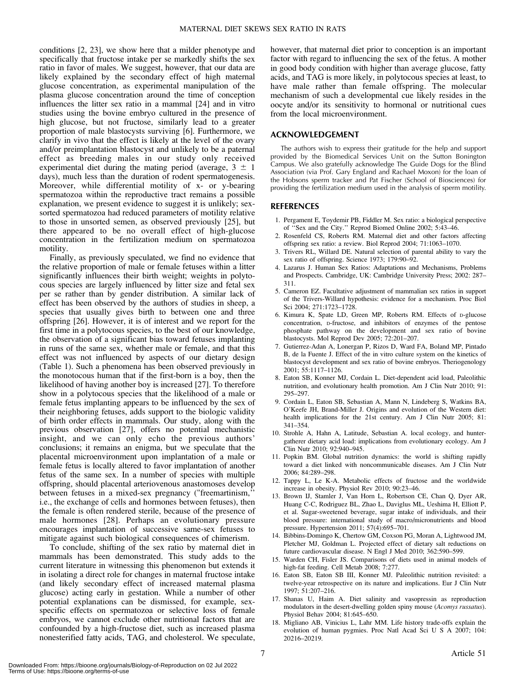conditions [2, 23], we show here that a milder phenotype and specifically that fructose intake per se markedly shifts the sex ratio in favor of males. We suggest, however, that our data are likely explained by the secondary effect of high maternal glucose concentration, as experimental manipulation of the plasma glucose concentration around the time of conception influences the litter sex ratio in a mammal [24] and in vitro studies using the bovine embryo cultured in the presence of high glucose, but not fructose, similarly lead to a greater proportion of male blastocysts surviving [6]. Furthermore, we clarify in vivo that the effect is likely at the level of the ovary and/or preimplantation blastocyst and unlikely to be a paternal effect as breeding males in our study only received experimental diet during the mating period (average,  $3 \pm 1$ days), much less than the duration of rodent spermatogenesis. Moreover, while differential motility of x- or y-bearing spermatozoa within the reproductive tract remains a possible explanation, we present evidence to suggest it is unlikely; sexsorted spermatozoa had reduced parameters of motility relative to those in unsorted semen, as observed previously [25], but there appeared to be no overall effect of high-glucose concentration in the fertilization medium on spermatozoa motility.

Finally, as previously speculated, we find no evidence that the relative proportion of male or female fetuses within a litter significantly influences their birth weight; weights in polytocous species are largely influenced by litter size and fetal sex per se rather than by gender distribution. A similar lack of effect has been observed by the authors of studies in sheep, a species that usually gives birth to between one and three offspring [26]. However, it is of interest and we report for the first time in a polytocous species, to the best of our knowledge, the observation of a significant bias toward fetuses implanting in runs of the same sex, whether male or female, and that this effect was not influenced by aspects of our dietary design (Table 1). Such a phenomena has been observed previously in the monotocous human that if the first-born is a boy, then the likelihood of having another boy is increased [27]. To therefore show in a polytocous species that the likelihood of a male or female fetus implanting appears to be influenced by the sex of their neighboring fetuses, adds support to the biologic validity of birth order effects in mammals. Our study, along with the previous observation [27], offers no potential mechanistic insight, and we can only echo the previous authors' conclusions; it remains an enigma, but we speculate that the placental microenvironment upon implantation of a male or female fetus is locally altered to favor implantation of another fetus of the same sex. In a number of species with multiple offspring, should placental arteriovenous anastomoses develop between fetuses in a mixed-sex pregnancy ("freemartinism,'' i.e., the exchange of cells and hormones between fetuses), then the female is often rendered sterile, because of the presence of male hormones [28]. Perhaps an evolutionary pressure encourages implantation of successive same-sex fetuses to mitigate against such biological consequences of chimerism.

To conclude, shifting of the sex ratio by maternal diet in mammals has been demonstrated. This study adds to the current literature in witnessing this phenomenon but extends it in isolating a direct role for changes in maternal fructose intake (and likely secondary effect of increased maternal plasma glucose) acting early in gestation. While a number of other potential explanations can be dismissed, for example, sexspecific effects on spermatozoa or selective loss of female embryos, we cannot exclude other nutritional factors that are confounded by a high-fructose diet, such as increased plasma nonesterified fatty acids, TAG, and cholesterol. We speculate,

however, that maternal diet prior to conception is an important factor with regard to influencing the sex of the fetus. A mother in good body condition with higher than average glucose, fatty acids, and TAG is more likely, in polytocous species at least, to have male rather than female offspring. The molecular mechanism of such a developmental cue likely resides in the oocyte and/or its sensitivity to hormonal or nutritional cues from the local microenvironment.

#### ACKNOWLEDGEMENT

The authors wish to express their gratitude for the help and support provided by the Biomedical Services Unit on the Sutton Bonington Campus. We also gratefully acknowledge The Guide Dogs for the Blind Association (via Prof. Gary England and Rachael Moxon) for the loan of the Hobsons sperm tracker and Pat Fischer (School of Biosciences) for providing the fertilization medium used in the analysis of sperm motility.

#### REFERENCES

- 1. Pergament E, Toydemir PB, Fiddler M. Sex ratio: a biological perspective of ''Sex and the City.'' Reprod Biomed Online 2002; 5:43–46.
- 2. Rosenfeld CS, Roberts RM. Maternal diet and other factors affecting offspring sex ratio: a review. Biol Reprod 2004; 71:1063–1070.
- 3. Trivers RL, Willard DE. Natural selection of parental ability to vary the sex ratio of offspring. Science 1973; 179:90–92.
- 4. Lazarus J. Human Sex Ratios: Adaptations and Mechanisms, Problems and Prospects. Cambridge, UK: Cambridge University Press; 2002: 287– 311.
- 5. Cameron EZ. Facultative adjustment of mammalian sex ratios in support of the Trivers-Willard hypothesis: evidence for a mechanism. Proc Biol Sci 2004; 271:1723–1728.
- 6. Kimura K, Spate LD, Green MP, Roberts RM. Effects of D-glucose concentration, D-fructose, and inhibitors of enzymes of the pentose phosphate pathway on the development and sex ratio of bovine blastocysts. Mol Reprod Dev 2005; 72:201–207.
- 7. Gutierrez-Adan A, Lonergan P, Rizos D, Ward FA, Boland MP, Pintado B, de la Fuente J. Effect of the in vitro culture system on the kinetics of blastocyst development and sex ratio of bovine embryos. Theriogenology 2001; 55:1117–1126.
- 8. Eaton SB, Konner MJ, Cordain L. Diet-dependent acid load, Paleolithic nutrition, and evolutionary health promotion. Am J Clin Nutr 2010; 91: 295–297.
- 9. Cordain L, Eaton SB, Sebastian A, Mann N, Lindeberg S, Watkins BA, O'Keefe JH, Brand-Miller J. Origins and evolution of the Western diet: health implications for the 21st century. Am J Clin Nutr 2005; 81: 341–354.
- 10. Strohle A, Hahn A, Latitude, Sebastian A. local ecology, and huntergatherer dietary acid load: implications from evolutionary ecology. Am J Clin Nutr 2010; 92:940–945.
- 11. Popkin BM. Global nutrition dynamics: the world is shifting rapidly toward a diet linked with noncommunicable diseases. Am J Clin Nutr 2006; 84:289–298.
- 12. Tappy L, Le K-A. Metabolic effects of fructose and the worldwide increase in obesity. Physiol Rev 2010; 90:23–46.
- 13. Brown IJ, Stamler J, Van Horn L, Robertson CE, Chan Q, Dyer AR, Huang C-C, Rodriguez BL, Zhao L, Daviglus ML, Ueshima H, Elliott P, et al. Sugar-sweetened beverage, sugar intake of individuals, and their blood pressure: international study of macro/micronutrients and blood pressure. Hypertension 2011; 57(4):695–701.
- 14. Bibbins-Domingo K, Chertow GM, Coxson PG, Moran A, Lightwood JM, Pletcher MJ, Goldman L. Projected effect of dietary salt reductions on future cardiovascular disease. N Engl J Med 2010; 362:590–599.
- 15. Warden CH, Fisler JS. Comparisons of diets used in animal models of high-fat feeding. Cell Metab 2008; 7:277.
- 16. Eaton SB, Eaton SB III, Konner MJ. Paleolithic nutrition revisited: a twelve-year retrospective on its nature and implications. Eur J Clin Nutr 1997; 51:207–216.
- 17. Shanas U, Haim A. Diet salinity and vasopressin as reproduction modulators in the desert-dwelling golden spiny mouse (Acomys russatus). Physiol Behav 2004; 81:645–650.
- 18. Migliano AB, Vinicius L, Lahr MM. Life history trade-offs explain the evolution of human pygmies. Proc Natl Acad Sci U S A 2007; 104: 20216–20219.